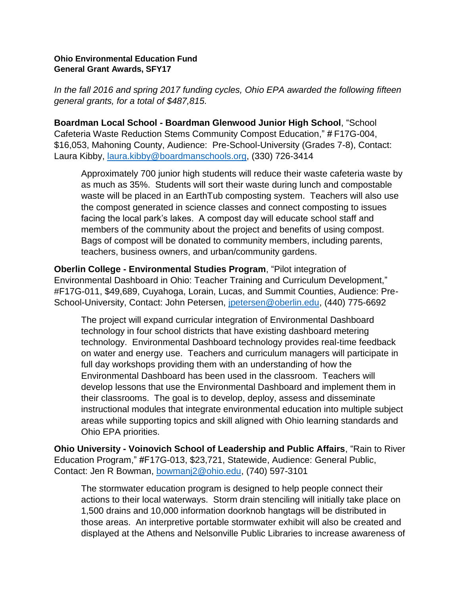## **Ohio Environmental Education Fund General Grant Awards, SFY17**

*In the fall 2016 and spring 2017 funding cycles, Ohio EPA awarded the following fifteen general grants, for a total of \$487,815.*

**Boardman Local School - Boardman Glenwood Junior High School**, "School Cafeteria Waste Reduction Stems Community Compost Education," # F17G-004, \$16,053, Mahoning County, Audience: Pre-School-University (Grades 7-8), Contact: Laura Kibby, [laura.kibby@boardmanschools.org,](mailto:laura.kibby@boardmanschools.org) (330) 726-3414

Approximately 700 junior high students will reduce their waste cafeteria waste by as much as 35%. Students will sort their waste during lunch and compostable waste will be placed in an EarthTub composting system. Teachers will also use the compost generated in science classes and connect composting to issues facing the local park's lakes. A compost day will educate school staff and members of the community about the project and benefits of using compost. Bags of compost will be donated to community members, including parents, teachers, business owners, and urban/community gardens.

**Oberlin College - Environmental Studies Program**, "Pilot integration of Environmental Dashboard in Ohio: Teacher Training and Curriculum Development," #F17G-011, \$49,689, Cuyahoga, Lorain, Lucas, and Summit Counties, Audience: Pre-School-University, Contact: John Petersen, [jpetersen@oberlin.edu,](mailto:jpetersen@oberlin.edu) (440) 775-6692

The project will expand curricular integration of Environmental Dashboard technology in four school districts that have existing dashboard metering technology. Environmental Dashboard technology provides real-time feedback on water and energy use. Teachers and curriculum managers will participate in full day workshops providing them with an understanding of how the Environmental Dashboard has been used in the classroom. Teachers will develop lessons that use the Environmental Dashboard and implement them in their classrooms. The goal is to develop, deploy, assess and disseminate instructional modules that integrate environmental education into multiple subject areas while supporting topics and skill aligned with Ohio learning standards and Ohio EPA priorities.

**Ohio University - Voinovich School of Leadership and Public Affairs**, "Rain to River Education Program," #F17G-013, \$23,721, Statewide, Audience: General Public, Contact: Jen R Bowman, [bowmanj2@ohio.edu,](mailto:bowmanj2@ohio.edu) (740) 597-3101

The stormwater education program is designed to help people connect their actions to their local waterways. Storm drain stenciling will initially take place on 1,500 drains and 10,000 information doorknob hangtags will be distributed in those areas. An interpretive portable stormwater exhibit will also be created and displayed at the Athens and Nelsonville Public Libraries to increase awareness of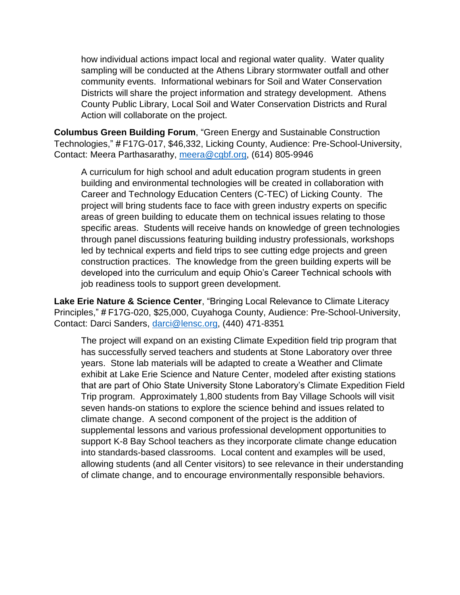how individual actions impact local and regional water quality. Water quality sampling will be conducted at the Athens Library stormwater outfall and other community events. Informational webinars for Soil and Water Conservation Districts will share the project information and strategy development. Athens County Public Library, Local Soil and Water Conservation Districts and Rural Action will collaborate on the project.

**Columbus Green Building Forum**, "Green Energy and Sustainable Construction Technologies," # F17G-017, \$46,332, Licking County, Audience: Pre-School-University, Contact: Meera Parthasarathy, [meera@cgbf.org,](mailto:meera@cgbf.org) (614) 805-9946

A curriculum for high school and adult education program students in green building and environmental technologies will be created in collaboration with Career and Technology Education Centers (C-TEC) of Licking County. The project will bring students face to face with green industry experts on specific areas of green building to educate them on technical issues relating to those specific areas. Students will receive hands on knowledge of green technologies through panel discussions featuring building industry professionals, workshops led by technical experts and field trips to see cutting edge projects and green construction practices. The knowledge from the green building experts will be developed into the curriculum and equip Ohio's Career Technical schools with job readiness tools to support green development.

**Lake Erie Nature & Science Center**, "Bringing Local Relevance to Climate Literacy Principles," # F17G-020, \$25,000, Cuyahoga County, Audience: Pre-School-University, Contact: Darci Sanders, [darci@lensc.org,](mailto:darci@lensc.org) (440) 471-8351

The project will expand on an existing Climate Expedition field trip program that has successfully served teachers and students at Stone Laboratory over three years. Stone lab materials will be adapted to create a Weather and Climate exhibit at Lake Erie Science and Nature Center, modeled after existing stations that are part of Ohio State University Stone Laboratory's Climate Expedition Field Trip program. Approximately 1,800 students from Bay Village Schools will visit seven hands-on stations to explore the science behind and issues related to climate change. A second component of the project is the addition of supplemental lessons and various professional development opportunities to support K-8 Bay School teachers as they incorporate climate change education into standards-based classrooms. Local content and examples will be used, allowing students (and all Center visitors) to see relevance in their understanding of climate change, and to encourage environmentally responsible behaviors.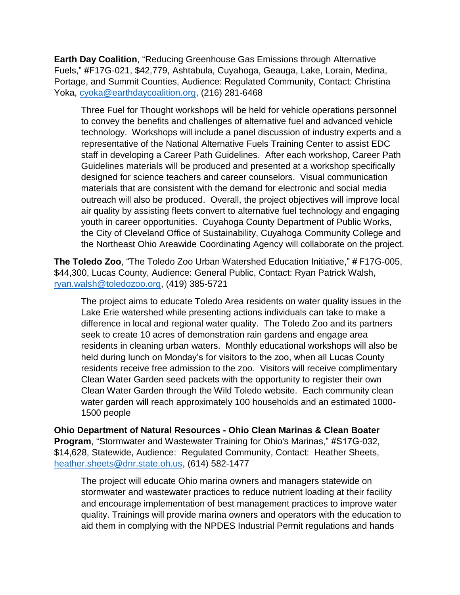**Earth Day Coalition**, "Reducing Greenhouse Gas Emissions through Alternative Fuels," #F17G-021, \$42,779, Ashtabula, Cuyahoga, Geauga, Lake, Lorain, Medina, Portage, and Summit Counties, Audience: Regulated Community, Contact: Christina Yoka, [cyoka@earthdaycoalition.org,](mailto:cyoka@earthdaycoalition.org) (216) 281-6468

Three Fuel for Thought workshops will be held for vehicle operations personnel to convey the benefits and challenges of alternative fuel and advanced vehicle technology. Workshops will include a panel discussion of industry experts and a representative of the National Alternative Fuels Training Center to assist EDC staff in developing a Career Path Guidelines. After each workshop, Career Path Guidelines materials will be produced and presented at a workshop specifically designed for science teachers and career counselors. Visual communication materials that are consistent with the demand for electronic and social media outreach will also be produced. Overall, the project objectives will improve local air quality by assisting fleets convert to alternative fuel technology and engaging youth in career opportunities. Cuyahoga County Department of Public Works, the City of Cleveland Office of Sustainability, Cuyahoga Community College and the Northeast Ohio Areawide Coordinating Agency will collaborate on the project.

**The Toledo Zoo**, "The Toledo Zoo Urban Watershed Education Initiative," # F17G-005, \$44,300, Lucas County, Audience: General Public, Contact: Ryan Patrick Walsh, [ryan.walsh@toledozoo.org,](mailto:ryan.walsh@toledozoo.org) (419) 385-5721

The project aims to educate Toledo Area residents on water quality issues in the Lake Erie watershed while presenting actions individuals can take to make a difference in local and regional water quality. The Toledo Zoo and its partners seek to create 10 acres of demonstration rain gardens and engage area residents in cleaning urban waters. Monthly educational workshops will also be held during lunch on Monday's for visitors to the zoo, when all Lucas County residents receive free admission to the zoo. Visitors will receive complimentary Clean Water Garden seed packets with the opportunity to register their own Clean Water Garden through the Wild Toledo website. Each community clean water garden will reach approximately 100 households and an estimated 1000- 1500 people

**Ohio Department of Natural Resources - Ohio Clean Marinas & Clean Boater Program**, "Stormwater and Wastewater Training for Ohio's Marinas," #S17G-032, \$14,628, Statewide, Audience: Regulated Community, Contact: Heather Sheets, [heather.sheets@dnr.state.oh.us,](mailto:heather.sheets@dnr.state.oh.us) (614) 582-1477

The project will educate Ohio marina owners and managers statewide on stormwater and wastewater practices to reduce nutrient loading at their facility and encourage implementation of best management practices to improve water quality. Trainings will provide marina owners and operators with the education to aid them in complying with the NPDES Industrial Permit regulations and hands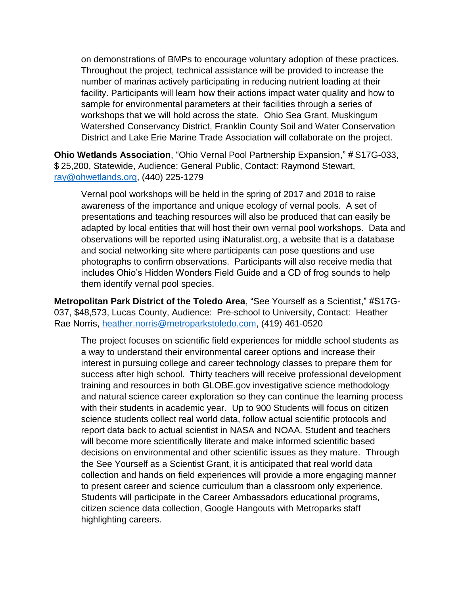on demonstrations of BMPs to encourage voluntary adoption of these practices. Throughout the project, technical assistance will be provided to increase the number of marinas actively participating in reducing nutrient loading at their facility. Participants will learn how their actions impact water quality and how to sample for environmental parameters at their facilities through a series of workshops that we will hold across the state. Ohio Sea Grant, Muskingum Watershed Conservancy District, Franklin County Soil and Water Conservation District and Lake Erie Marine Trade Association will collaborate on the project.

**Ohio Wetlands Association**, "Ohio Vernal Pool Partnership Expansion," # S17G-033, \$ 25,200, Statewide, Audience: General Public, Contact: Raymond Stewart, [ray@ohwetlands.org,](mailto:ray@ohwetlands.org) (440) 225-1279

Vernal pool workshops will be held in the spring of 2017 and 2018 to raise awareness of the importance and unique ecology of vernal pools. A set of presentations and teaching resources will also be produced that can easily be adapted by local entities that will host their own vernal pool workshops. Data and observations will be reported using iNaturalist.org, a website that is a database and social networking site where participants can pose questions and use photographs to confirm observations. Participants will also receive media that includes Ohio's Hidden Wonders Field Guide and a CD of frog sounds to help them identify vernal pool species.

**Metropolitan Park District of the Toledo Area**, "See Yourself as a Scientist," #S17G-037, \$48,573, Lucas County, Audience: Pre-school to University, Contact: Heather Rae Norris, [heather.norris@metroparkstoledo.com,](mailto:heather.norris@metroparkstoledo.com) (419) 461-0520

The project focuses on scientific field experiences for middle school students as a way to understand their environmental career options and increase their interest in pursuing college and career technology classes to prepare them for success after high school. Thirty teachers will receive professional development training and resources in both GLOBE.gov investigative science methodology and natural science career exploration so they can continue the learning process with their students in academic year. Up to 900 Students will focus on citizen science students collect real world data, follow actual scientific protocols and report data back to actual scientist in NASA and NOAA. Student and teachers will become more scientifically literate and make informed scientific based decisions on environmental and other scientific issues as they mature. Through the See Yourself as a Scientist Grant, it is anticipated that real world data collection and hands on field experiences will provide a more engaging manner to present career and science curriculum than a classroom only experience. Students will participate in the Career Ambassadors educational programs, citizen science data collection, Google Hangouts with Metroparks staff highlighting careers.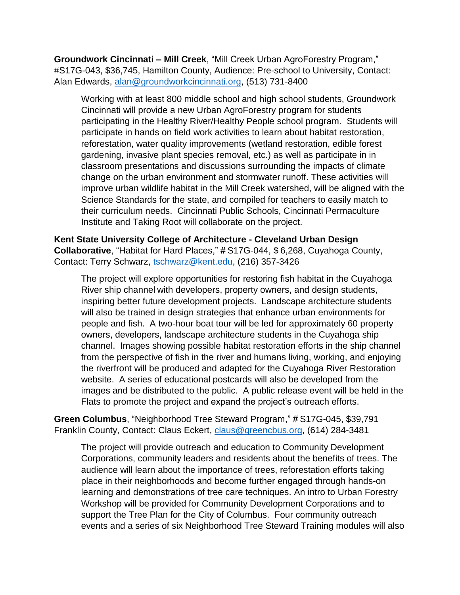**Groundwork Cincinnati – Mill Creek**, "Mill Creek Urban AgroForestry Program," #S17G-043, \$36,745, Hamilton County, Audience: Pre-school to University, Contact: Alan Edwards, [alan@groundworkcincinnati.org,](mailto:alan@groundworkcincinnati.org) (513) 731-8400

Working with at least 800 middle school and high school students, Groundwork Cincinnati will provide a new Urban AgroForestry program for students participating in the Healthy River/Healthy People school program. Students will participate in hands on field work activities to learn about habitat restoration, reforestation, water quality improvements (wetland restoration, edible forest gardening, invasive plant species removal, etc.) as well as participate in in classroom presentations and discussions surrounding the impacts of climate change on the urban environment and stormwater runoff. These activities will improve urban wildlife habitat in the Mill Creek watershed, will be aligned with the Science Standards for the state, and compiled for teachers to easily match to their curriculum needs. Cincinnati Public Schools, Cincinnati Permaculture Institute and Taking Root will collaborate on the project.

**Kent State University College of Architecture - Cleveland Urban Design Collaborative**, "Habitat for Hard Places," # S17G-044, \$ 6,268, Cuyahoga County, Contact: Terry Schwarz, [tschwarz@kent.edu,](mailto:tschwarz@kent.edu) (216) 357-3426

The project will explore opportunities for restoring fish habitat in the Cuyahoga River ship channel with developers, property owners, and design students, inspiring better future development projects. Landscape architecture students will also be trained in design strategies that enhance urban environments for people and fish. A two-hour boat tour will be led for approximately 60 property owners, developers, landscape architecture students in the Cuyahoga ship channel. Images showing possible habitat restoration efforts in the ship channel from the perspective of fish in the river and humans living, working, and enjoying the riverfront will be produced and adapted for the Cuyahoga River Restoration website. A series of educational postcards will also be developed from the images and be distributed to the public. A public release event will be held in the Flats to promote the project and expand the project's outreach efforts.

**Green Columbus**, "Neighborhood Tree Steward Program," # S17G-045, \$39,791 Franklin County, Contact: Claus Eckert, [claus@greencbus.org,](mailto:claus@greencbus.org) (614) 284-3481

The project will provide outreach and education to Community Development Corporations, community leaders and residents about the benefits of trees. The audience will learn about the importance of trees, reforestation efforts taking place in their neighborhoods and become further engaged through hands-on learning and demonstrations of tree care techniques. An intro to Urban Forestry Workshop will be provided for Community Development Corporations and to support the Tree Plan for the City of Columbus. Four community outreach events and a series of six Neighborhood Tree Steward Training modules will also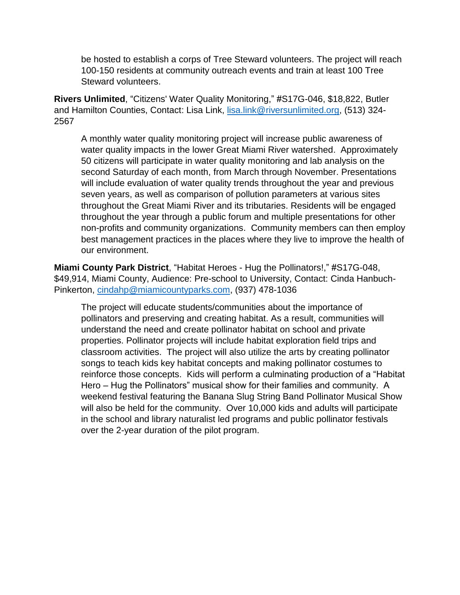be hosted to establish a corps of Tree Steward volunteers. The project will reach 100-150 residents at community outreach events and train at least 100 Tree Steward volunteers.

**Rivers Unlimited**, "Citizens' Water Quality Monitoring," #S17G-046, \$18,822, Butler and Hamilton Counties, Contact: Lisa Link, [lisa.link@riversunlimited.org,](mailto:lisa.link@riversunlimited.org) (513) 324- 2567

A monthly water quality monitoring project will increase public awareness of water quality impacts in the lower Great Miami River watershed. Approximately 50 citizens will participate in water quality monitoring and lab analysis on the second Saturday of each month, from March through November. Presentations will include evaluation of water quality trends throughout the year and previous seven years, as well as comparison of pollution parameters at various sites throughout the Great Miami River and its tributaries. Residents will be engaged throughout the year through a public forum and multiple presentations for other non-profits and community organizations. Community members can then employ best management practices in the places where they live to improve the health of our environment.

**Miami County Park District**, "Habitat Heroes - Hug the Pollinators!," #S17G-048, \$49,914, Miami County, Audience: Pre-school to University, Contact: Cinda Hanbuch-Pinkerton, [cindahp@miamicountyparks.com,](mailto:cindahp@miamicountyparks.com) (937) 478-1036

The project will educate students/communities about the importance of pollinators and preserving and creating habitat. As a result, communities will understand the need and create pollinator habitat on school and private properties. Pollinator projects will include habitat exploration field trips and classroom activities. The project will also utilize the arts by creating pollinator songs to teach kids key habitat concepts and making pollinator costumes to reinforce those concepts. Kids will perform a culminating production of a "Habitat Hero – Hug the Pollinators" musical show for their families and community. A weekend festival featuring the Banana Slug String Band Pollinator Musical Show will also be held for the community. Over 10,000 kids and adults will participate in the school and library naturalist led programs and public pollinator festivals over the 2-year duration of the pilot program.